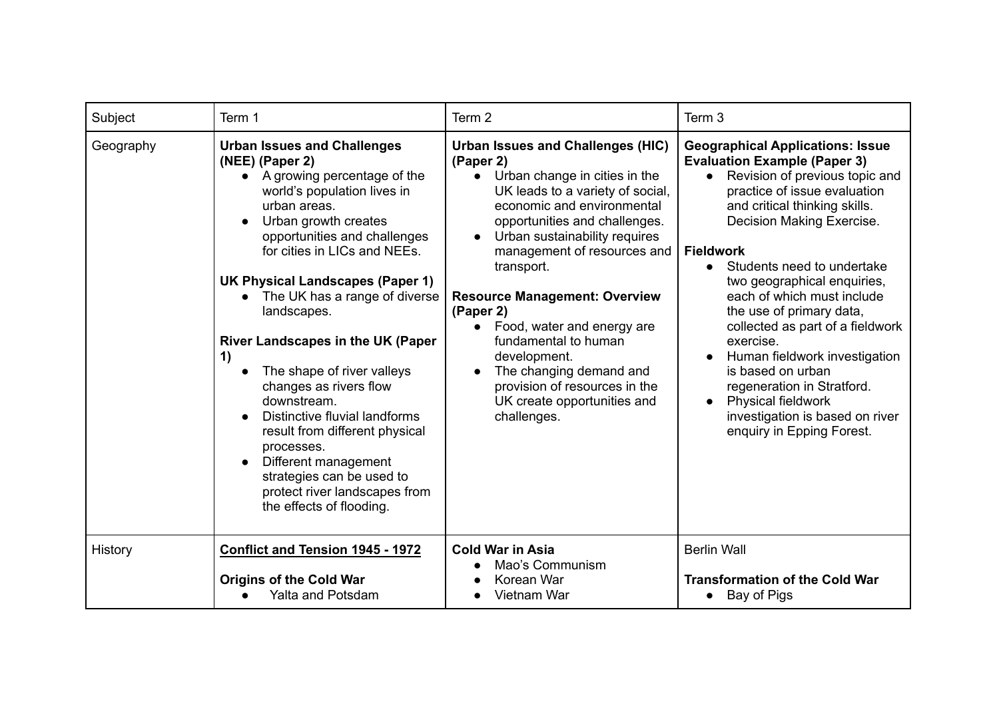| Subject   | Term 1                                                                                                                                                                                                                                                                                                                                                                                                                                                                                                                                                                                                                                                     | Term 2                                                                                                                                                                                                                                                                                                                                                                                                                                                                                                                      | Term 3                                                                                                                                                                                                                                                                                                                                                                                                                                                                                                                                                                                                                             |
|-----------|------------------------------------------------------------------------------------------------------------------------------------------------------------------------------------------------------------------------------------------------------------------------------------------------------------------------------------------------------------------------------------------------------------------------------------------------------------------------------------------------------------------------------------------------------------------------------------------------------------------------------------------------------------|-----------------------------------------------------------------------------------------------------------------------------------------------------------------------------------------------------------------------------------------------------------------------------------------------------------------------------------------------------------------------------------------------------------------------------------------------------------------------------------------------------------------------------|------------------------------------------------------------------------------------------------------------------------------------------------------------------------------------------------------------------------------------------------------------------------------------------------------------------------------------------------------------------------------------------------------------------------------------------------------------------------------------------------------------------------------------------------------------------------------------------------------------------------------------|
| Geography | <b>Urban Issues and Challenges</b><br>(NEE) (Paper 2)<br>• A growing percentage of the<br>world's population lives in<br>urban areas.<br>Urban growth creates<br>opportunities and challenges<br>for cities in LICs and NEEs.<br>UK Physical Landscapes (Paper 1)<br>The UK has a range of diverse<br>landscapes.<br><b>River Landscapes in the UK (Paper</b><br>1)<br>The shape of river valleys<br>changes as rivers flow<br>downstream.<br>Distinctive fluvial landforms<br>result from different physical<br>processes.<br>Different management<br>$\bullet$<br>strategies can be used to<br>protect river landscapes from<br>the effects of flooding. | <b>Urban Issues and Challenges (HIC)</b><br>(Paper 2)<br>• Urban change in cities in the<br>UK leads to a variety of social,<br>economic and environmental<br>opportunities and challenges.<br>Urban sustainability requires<br>management of resources and<br>transport.<br><b>Resource Management: Overview</b><br>(Paper 2)<br>Food, water and energy are<br>$\bullet$<br>fundamental to human<br>development.<br>The changing demand and<br>provision of resources in the<br>UK create opportunities and<br>challenges. | <b>Geographical Applications: Issue</b><br><b>Evaluation Example (Paper 3)</b><br>Revision of previous topic and<br>$\bullet$<br>practice of issue evaluation<br>and critical thinking skills.<br>Decision Making Exercise.<br><b>Fieldwork</b><br>Students need to undertake<br>$\bullet$<br>two geographical enquiries,<br>each of which must include<br>the use of primary data,<br>collected as part of a fieldwork<br>exercise.<br>Human fieldwork investigation<br>is based on urban<br>regeneration in Stratford.<br><b>Physical fieldwork</b><br>$\bullet$<br>investigation is based on river<br>enquiry in Epping Forest. |
| History   | <b>Conflict and Tension 1945 - 1972</b><br><b>Origins of the Cold War</b><br>Yalta and Potsdam                                                                                                                                                                                                                                                                                                                                                                                                                                                                                                                                                             | <b>Cold War in Asia</b><br>Mao's Communism<br>Korean War<br>Vietnam War                                                                                                                                                                                                                                                                                                                                                                                                                                                     | <b>Berlin Wall</b><br><b>Transformation of the Cold War</b><br>• Bay of Pigs                                                                                                                                                                                                                                                                                                                                                                                                                                                                                                                                                       |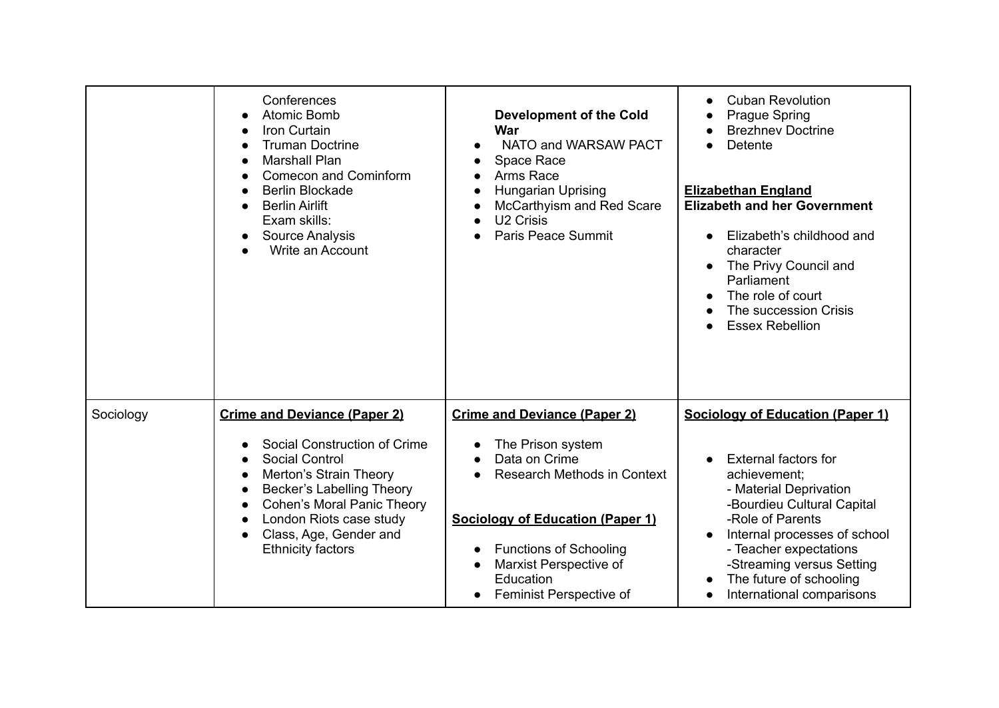|           | Conferences<br><b>Atomic Bomb</b><br>Iron Curtain<br><b>Truman Doctrine</b><br><b>Marshall Plan</b><br><b>Comecon and Cominform</b><br>Berlin Blockade<br><b>Berlin Airlift</b><br>Exam skills:<br>Source Analysis<br>Write an Account                             | <b>Development of the Cold</b><br><b>War</b><br>NATO and WARSAW PACT<br>Space Race<br>Arms Race<br>Hungarian Uprising<br>McCarthyism and Red Scare<br>U <sub>2</sub> Crisis<br><b>Paris Peace Summit</b>                                                      | <b>Cuban Revolution</b><br><b>Prague Spring</b><br><b>Brezhnev Doctrine</b><br>Detente<br><b>Elizabethan England</b><br><b>Elizabeth and her Government</b><br>Elizabeth's childhood and<br>character<br>The Privy Council and<br>Parliament<br>The role of court<br>The succession Crisis<br><b>Essex Rebellion</b> |
|-----------|--------------------------------------------------------------------------------------------------------------------------------------------------------------------------------------------------------------------------------------------------------------------|---------------------------------------------------------------------------------------------------------------------------------------------------------------------------------------------------------------------------------------------------------------|----------------------------------------------------------------------------------------------------------------------------------------------------------------------------------------------------------------------------------------------------------------------------------------------------------------------|
| Sociology | <b>Crime and Deviance (Paper 2)</b><br>Social Construction of Crime<br>Social Control<br>Merton's Strain Theory<br>Becker's Labelling Theory<br><b>Cohen's Moral Panic Theory</b><br>London Riots case study<br>Class, Age, Gender and<br><b>Ethnicity factors</b> | <b>Crime and Deviance (Paper 2)</b><br>The Prison system<br>Data on Crime<br><b>Research Methods in Context</b><br><b>Sociology of Education (Paper 1)</b><br><b>Functions of Schooling</b><br>Marxist Perspective of<br>Education<br>Feminist Perspective of | Sociology of Education (Paper 1)<br><b>External factors for</b><br>achievement;<br>- Material Deprivation<br>-Bourdieu Cultural Capital<br>-Role of Parents<br>Internal processes of school<br>- Teacher expectations<br>-Streaming versus Setting<br>The future of schooling<br>International comparisons           |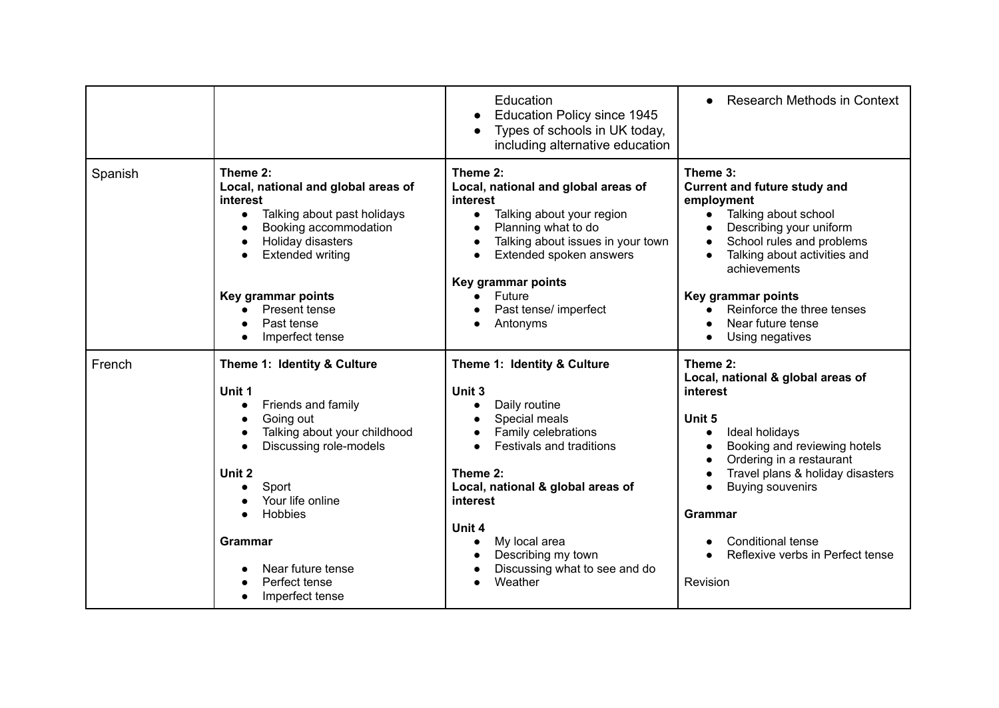|         |                                                                                                                                                                                                                                                                                    | Education<br><b>Education Policy since 1945</b><br>$\bullet$<br>Types of schools in UK today,<br>$\bullet$<br>including alternative education                                                                                                                                                                                                                             | <b>Research Methods in Context</b><br>$\bullet$                                                                                                                                                                                                                                                                                                                                 |
|---------|------------------------------------------------------------------------------------------------------------------------------------------------------------------------------------------------------------------------------------------------------------------------------------|---------------------------------------------------------------------------------------------------------------------------------------------------------------------------------------------------------------------------------------------------------------------------------------------------------------------------------------------------------------------------|---------------------------------------------------------------------------------------------------------------------------------------------------------------------------------------------------------------------------------------------------------------------------------------------------------------------------------------------------------------------------------|
| Spanish | Theme 2:<br>Local, national and global areas of<br>interest<br>Talking about past holidays<br>$\bullet$<br>Booking accommodation<br>Holiday disasters<br><b>Extended writing</b><br>$\bullet$<br>Key grammar points<br>Present tense<br>Past tense<br>Imperfect tense              | Theme 2:<br>Local, national and global areas of<br>interest<br>Talking about your region<br>$\bullet$<br>Planning what to do<br>$\bullet$<br>Talking about issues in your town<br>$\bullet$<br>Extended spoken answers<br>$\bullet$<br>Key grammar points<br>Future<br>$\bullet$<br>Past tense/ imperfect<br>$\bullet$<br>Antonyms<br>$\bullet$                           | Theme 3:<br><b>Current and future study and</b><br>employment<br>Talking about school<br>$\bullet$<br>Describing your uniform<br>School rules and problems<br>$\bullet$<br>Talking about activities and<br>$\bullet$<br>achievements<br>Key grammar points<br>Reinforce the three tenses<br>$\bullet$<br>Near future tense<br>Using negatives                                   |
| French  | Theme 1: Identity & Culture<br>Unit 1<br>Friends and family<br>$\bullet$<br>Going out<br>Talking about your childhood<br>Discussing role-models<br>$\bullet$<br>Unit 2<br>Sport<br>Your life online<br>Hobbies<br>Grammar<br>Near future tense<br>Perfect tense<br>Imperfect tense | Theme 1: Identity & Culture<br>Unit 3<br>Daily routine<br>$\bullet$<br>Special meals<br>$\bullet$<br>Family celebrations<br>$\bullet$<br><b>Festivals and traditions</b><br>$\bullet$<br>Theme 2:<br>Local, national & global areas of<br>interest<br>Unit 4<br>My local area<br>$\bullet$<br>Describing my town<br>Discussing what to see and do<br>$\bullet$<br>Weather | Theme 2:<br>Local, national & global areas of<br>interest<br>Unit 5<br>Ideal holidays<br>$\bullet$<br>Booking and reviewing hotels<br>$\bullet$<br>Ordering in a restaurant<br>$\bullet$<br>Travel plans & holiday disasters<br>$\bullet$<br><b>Buying souvenirs</b><br>$\bullet$<br><b>Grammar</b><br><b>Conditional tense</b><br>Reflexive verbs in Perfect tense<br>Revision |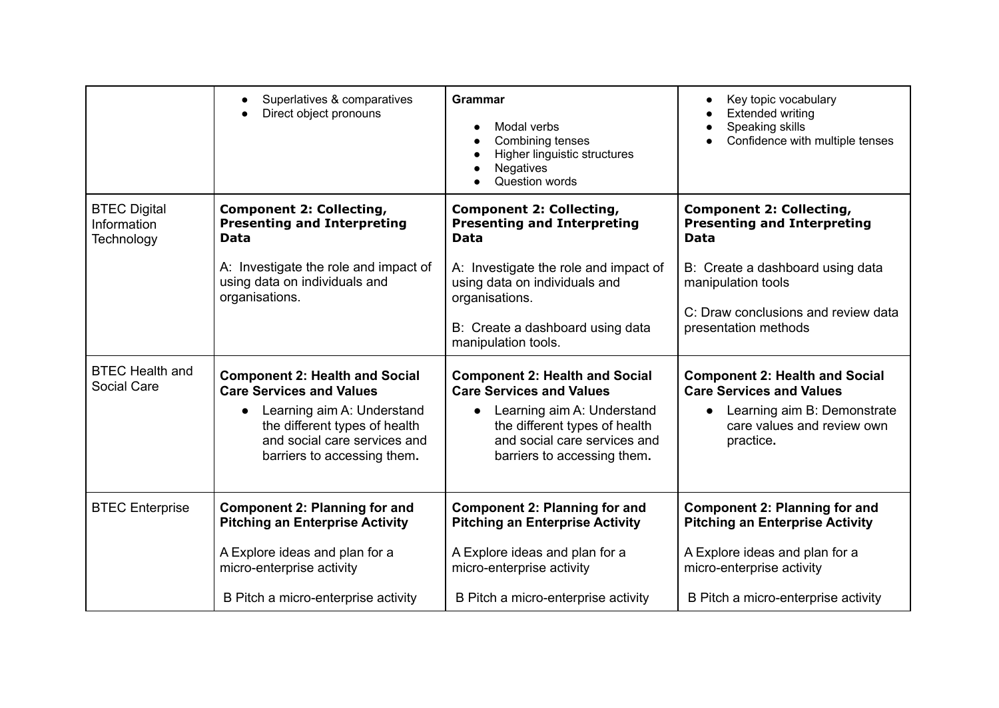|                                                  | Superlatives & comparatives<br>Direct object pronouns                                                                                                                                                  | <b>Grammar</b><br>Modal verbs<br>Combining tenses<br>Higher linguistic structures<br><b>Negatives</b><br>Question words                                                                                                                     | Key topic vocabulary<br>$\bullet$<br><b>Extended writing</b><br>Speaking skills<br>Confidence with multiple tenses                                                                                            |
|--------------------------------------------------|--------------------------------------------------------------------------------------------------------------------------------------------------------------------------------------------------------|---------------------------------------------------------------------------------------------------------------------------------------------------------------------------------------------------------------------------------------------|---------------------------------------------------------------------------------------------------------------------------------------------------------------------------------------------------------------|
| <b>BTEC Digital</b><br>Information<br>Technology | <b>Component 2: Collecting,</b><br><b>Presenting and Interpreting</b><br>Data<br>A: Investigate the role and impact of<br>using data on individuals and<br>organisations.                              | <b>Component 2: Collecting,</b><br><b>Presenting and Interpreting</b><br><b>Data</b><br>A: Investigate the role and impact of<br>using data on individuals and<br>organisations.<br>B: Create a dashboard using data<br>manipulation tools. | <b>Component 2: Collecting,</b><br><b>Presenting and Interpreting</b><br><b>Data</b><br>B: Create a dashboard using data<br>manipulation tools<br>C: Draw conclusions and review data<br>presentation methods |
| <b>BTEC Health and</b><br>Social Care            | <b>Component 2: Health and Social</b><br><b>Care Services and Values</b><br>Learning aim A: Understand<br>the different types of health<br>and social care services and<br>barriers to accessing them. | <b>Component 2: Health and Social</b><br><b>Care Services and Values</b><br>Learning aim A: Understand<br>the different types of health<br>and social care services and<br>barriers to accessing them.                                      | <b>Component 2: Health and Social</b><br><b>Care Services and Values</b><br>Learning aim B: Demonstrate<br>care values and review own<br>practice.                                                            |
| <b>BTEC Enterprise</b>                           | <b>Component 2: Planning for and</b><br><b>Pitching an Enterprise Activity</b><br>A Explore ideas and plan for a<br>micro-enterprise activity<br>B Pitch a micro-enterprise activity                   | <b>Component 2: Planning for and</b><br><b>Pitching an Enterprise Activity</b><br>A Explore ideas and plan for a<br>micro-enterprise activity<br>B Pitch a micro-enterprise activity                                                        | <b>Component 2: Planning for and</b><br><b>Pitching an Enterprise Activity</b><br>A Explore ideas and plan for a<br>micro-enterprise activity<br>B Pitch a micro-enterprise activity                          |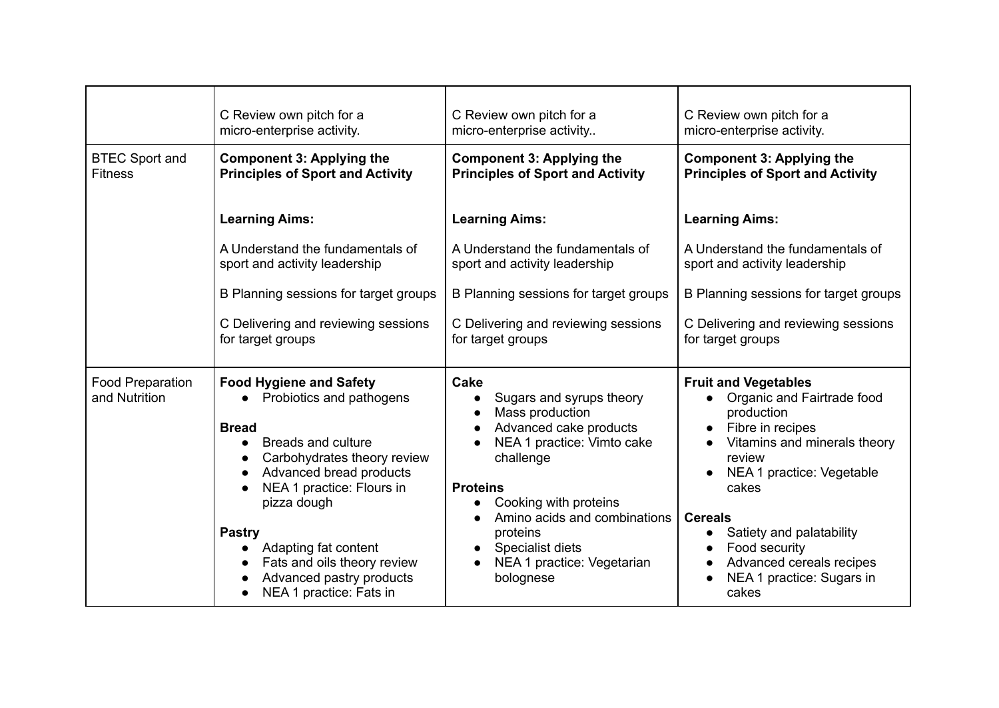|                                   | C Review own pitch for a                                                                                                                                                                                                                                                                                                                                               | C Review own pitch for a                                                                                                                                                                                                                                                                     | C Review own pitch for a                                                                                                                                                                                                                                                                                                                            |
|-----------------------------------|------------------------------------------------------------------------------------------------------------------------------------------------------------------------------------------------------------------------------------------------------------------------------------------------------------------------------------------------------------------------|----------------------------------------------------------------------------------------------------------------------------------------------------------------------------------------------------------------------------------------------------------------------------------------------|-----------------------------------------------------------------------------------------------------------------------------------------------------------------------------------------------------------------------------------------------------------------------------------------------------------------------------------------------------|
|                                   | micro-enterprise activity.                                                                                                                                                                                                                                                                                                                                             | micro-enterprise activity                                                                                                                                                                                                                                                                    | micro-enterprise activity.                                                                                                                                                                                                                                                                                                                          |
| <b>BTEC Sport and</b>             | <b>Component 3: Applying the</b>                                                                                                                                                                                                                                                                                                                                       | <b>Component 3: Applying the</b>                                                                                                                                                                                                                                                             | <b>Component 3: Applying the</b>                                                                                                                                                                                                                                                                                                                    |
| <b>Fitness</b>                    | <b>Principles of Sport and Activity</b>                                                                                                                                                                                                                                                                                                                                | <b>Principles of Sport and Activity</b>                                                                                                                                                                                                                                                      | <b>Principles of Sport and Activity</b>                                                                                                                                                                                                                                                                                                             |
|                                   | <b>Learning Aims:</b>                                                                                                                                                                                                                                                                                                                                                  | <b>Learning Aims:</b>                                                                                                                                                                                                                                                                        | <b>Learning Aims:</b>                                                                                                                                                                                                                                                                                                                               |
|                                   | A Understand the fundamentals of                                                                                                                                                                                                                                                                                                                                       | A Understand the fundamentals of                                                                                                                                                                                                                                                             | A Understand the fundamentals of                                                                                                                                                                                                                                                                                                                    |
|                                   | sport and activity leadership                                                                                                                                                                                                                                                                                                                                          | sport and activity leadership                                                                                                                                                                                                                                                                | sport and activity leadership                                                                                                                                                                                                                                                                                                                       |
|                                   | B Planning sessions for target groups                                                                                                                                                                                                                                                                                                                                  | B Planning sessions for target groups                                                                                                                                                                                                                                                        | B Planning sessions for target groups                                                                                                                                                                                                                                                                                                               |
|                                   | C Delivering and reviewing sessions                                                                                                                                                                                                                                                                                                                                    | C Delivering and reviewing sessions                                                                                                                                                                                                                                                          | C Delivering and reviewing sessions                                                                                                                                                                                                                                                                                                                 |
|                                   | for target groups                                                                                                                                                                                                                                                                                                                                                      | for target groups                                                                                                                                                                                                                                                                            | for target groups                                                                                                                                                                                                                                                                                                                                   |
| Food Preparation<br>and Nutrition | <b>Food Hygiene and Safety</b><br>Probiotics and pathogens<br><b>Bread</b><br><b>Breads and culture</b><br>$\bullet$<br>Carbohydrates theory review<br>Advanced bread products<br>$\bullet$<br>NEA 1 practice: Flours in<br>pizza dough<br><b>Pastry</b><br>Adapting fat content<br>Fats and oils theory review<br>Advanced pastry products<br>NEA 1 practice: Fats in | Cake<br>Sugars and syrups theory<br>$\bullet$<br>Mass production<br>Advanced cake products<br>NEA 1 practice: Vimto cake<br>challenge<br><b>Proteins</b><br>Cooking with proteins<br>Amino acids and combinations<br>proteins<br>Specialist diets<br>NEA 1 practice: Vegetarian<br>bolognese | <b>Fruit and Vegetables</b><br>Organic and Fairtrade food<br>production<br>Fibre in recipes<br>Vitamins and minerals theory<br>review<br>NEA 1 practice: Vegetable<br>cakes<br><b>Cereals</b><br>Satiety and palatability<br>Food security<br>$\bullet$<br>Advanced cereals recipes<br>$\bullet$<br>NEA 1 practice: Sugars in<br>$\bullet$<br>cakes |